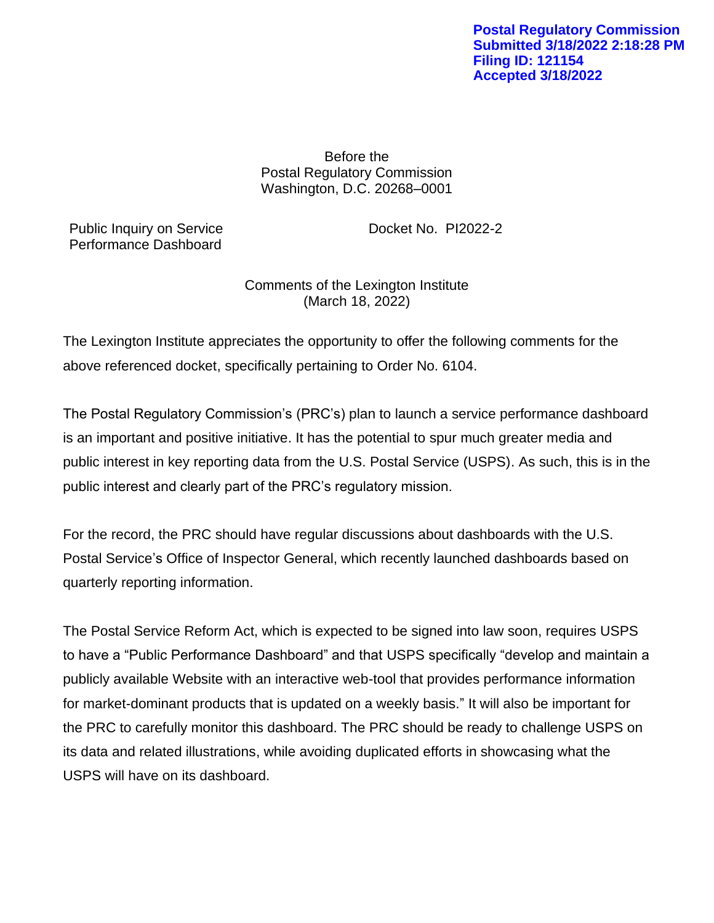Before the Postal Regulatory Commission Washington, D.C. 20268–0001

Public Inquiry on Service Docket No. PI2022-2 Performance Dashboard

Comments of the Lexington Institute (March 18, 2022)

The Lexington Institute appreciates the opportunity to offer the following comments for the above referenced docket, specifically pertaining to Order No. 6104.

The Postal Regulatory Commission's (PRC's) plan to launch a service performance dashboard is an important and positive initiative. It has the potential to spur much greater media and public interest in key reporting data from the U.S. Postal Service (USPS). As such, this is in the public interest and clearly part of the PRC's regulatory mission.

For the record, the PRC should have regular discussions about dashboards with the U.S. Postal Service's Office of Inspector General, which recently launched dashboards based on quarterly reporting information.

The Postal Service Reform Act, which is expected to be signed into law soon, requires USPS to have a "Public Performance Dashboard" and that USPS specifically "develop and maintain a publicly available Website with an interactive web-tool that provides performance information for market-dominant products that is updated on a weekly basis." It will also be important for the PRC to carefully monitor this dashboard. The PRC should be ready to challenge USPS on its data and related illustrations, while avoiding duplicated efforts in showcasing what the USPS will have on its dashboard.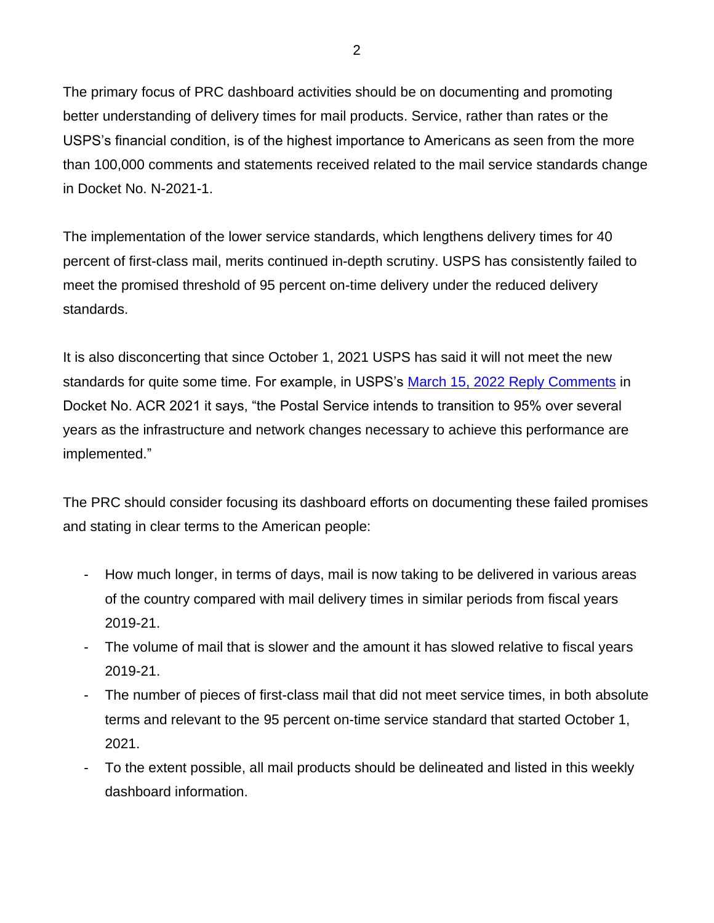The primary focus of PRC dashboard activities should be on documenting and promoting better understanding of delivery times for mail products. Service, rather than rates or the USPS's financial condition, is of the highest importance to Americans as seen from the more than 100,000 comments and statements received related to the mail service standards change in Docket No. N-2021-1.

The implementation of the lower service standards, which lengthens delivery times for 40 percent of first-class mail, merits continued in-depth scrutiny. USPS has consistently failed to meet the promised threshold of 95 percent on-time delivery under the reduced delivery standards.

It is also disconcerting that since October 1, 2021 USPS has said it will not meet the new standards for quite some time. For example, in USPS's [March 15, 2022 Reply Comments](https://www.prc.gov/docs/121/121129/ACR2021%20USPS%20Reply%20Comments%203-15-22_.pdf) in Docket No. ACR 2021 it says, "the Postal Service intends to transition to 95% over several years as the infrastructure and network changes necessary to achieve this performance are implemented."

The PRC should consider focusing its dashboard efforts on documenting these failed promises and stating in clear terms to the American people:

- How much longer, in terms of days, mail is now taking to be delivered in various areas of the country compared with mail delivery times in similar periods from fiscal years 2019-21.
- The volume of mail that is slower and the amount it has slowed relative to fiscal years 2019-21.
- The number of pieces of first-class mail that did not meet service times, in both absolute terms and relevant to the 95 percent on-time service standard that started October 1, 2021.
- To the extent possible, all mail products should be delineated and listed in this weekly dashboard information.